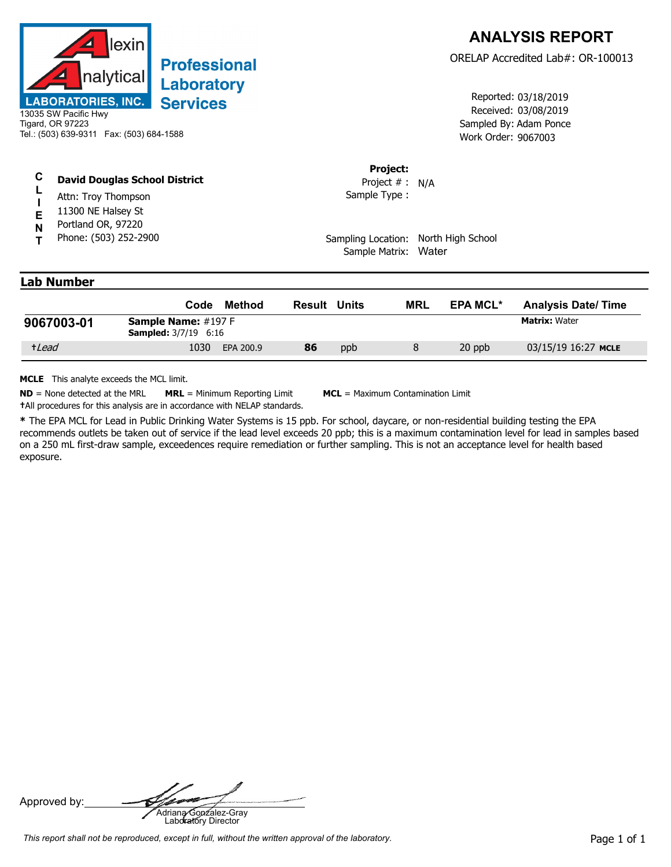

## **Professional** Laboratory **Services**

| C | <b>David Douglas School District</b> |  |
|---|--------------------------------------|--|
|   |                                      |  |

- **L** Attn: Troy Thompson
- **I** 11300 NE Halsey St
- **E N** Portland OR, 97220
- **T** Phone: (503) 252-2900

Received: 03/08/2019 Work Order: 9067003 Reported: 03/18/2019 Sampled By: Adam Ponce

## **Project:**

Sample Type : Project # : N/A

Sampling Location: North High School Sample Matrix: Water

## **Lab Number**

|            | Code                                                         | Method    | Result | Units | <b>MRL</b> | <b>EPA MCL*</b> | <b>Analysis Date/Time</b> |
|------------|--------------------------------------------------------------|-----------|--------|-------|------------|-----------------|---------------------------|
| 9067003-01 | <b>Sample Name:</b> $\#197 F$<br><b>Sampled:</b> 3/7/19 6:16 |           |        |       |            |                 | <b>Matrix: Water</b>      |
| +Lead      | 1030                                                         | EPA 200.9 | 86     | ppb   |            | 20 ppb          | 03/15/19 16:27 MCLE       |

**MCLE** This analyte exceeds the MCL limit.

**ND** = None detected at the MRL **MRL** = Minimum Reporting Limit **MCL** = Maximum Contamination Limit **†**All procedures for this analysis are in accordance with NELAP standards.

**\*** The EPA MCL for Lead in Public Drinking Water Systems is 15 ppb. For school, daycare, or non-residential building testing the EPA recommends outlets be taken out of service if the lead level exceeds 20 ppb; this is a maximum contamination level for lead in samples based on a 250 mL first-draw sample, exceedences require remediation or further sampling. This is not an acceptance level for health based exposure.

Approved by: **Adriana Gonzalez-Gray**<br>Adriana Gonzalez-Gray<br>Laboratory Director